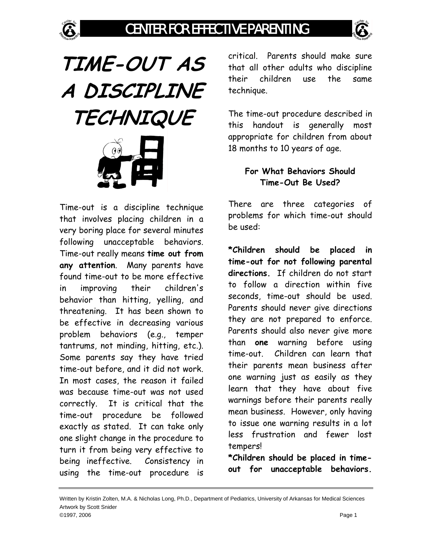



**TIME-OUT AS A DISCIPLINE TECHNIQUE** 

Time-out is a discipline technique that involves placing children in a very boring place for several minutes following unacceptable behaviors. Time-out really means **time out from any attention**. Many parents have found time-out to be more effective in improving their children's behavior than hitting, yelling, and threatening. It has been shown to be effective in decreasing various problem behaviors (e.g., temper tantrums, not minding, hitting, etc.). Some parents say they have tried time-out before, and it did not work. In most cases, the reason it failed was because time-out was not used correctly. It is critical that the time-out procedure be followed exactly as stated. It can take only one slight change in the procedure to turn it from being very effective to being ineffective. Consistency in using the time-out procedure is

critical. Parents should make sure that all other adults who discipline their children use the same technique.

The time-out procedure described in this handout is generally most appropriate for children from about 18 months to 10 years of age.

### **For What Behaviors Should Time-Out Be Used?**

There are three categories of problems for which time-out should be used:

**\*Children should be placed in time-out for not following parental directions.** If children do not start to follow a direction within five seconds, time-out should be used. Parents should never give directions they are not prepared to enforce. Parents should also never give more than **one** warning before using time-out. Children can learn that their parents mean business after one warning just as easily as they learn that they have about five warnings before their parents really mean business. However, only having to issue one warning results in a lot less frustration and fewer lost tempers!

**\*Children should be placed in timeout for unacceptable behaviors.**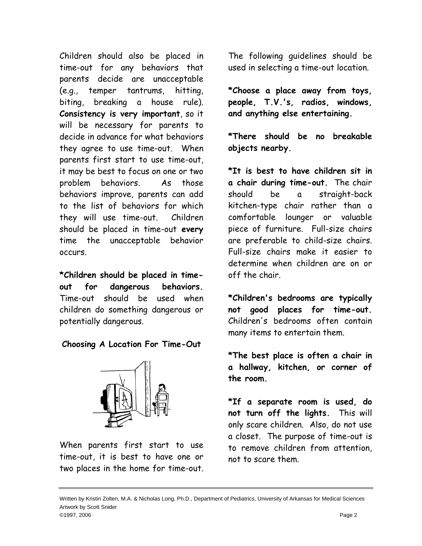Children should also be placed in time-out for any behaviors that parents decide are unacceptable (e.g., temper tantrums, hitting, biting, breaking a house rule). **Consistency is very important**, so it will be necessary for parents to decide in advance for what behaviors they agree to use time-out. When parents first start to use time-out, it may be best to focus on one or two problem behaviors. As those behaviors improve, parents can add to the list of behaviors for which they will use time-out. Children should be placed in time-out **every** time the unacceptable behavior occurs.

**\*Children should be placed in timeout for dangerous behaviors.**  Time-out should be used when children do something dangerous or potentially dangerous.

### **Choosing A Location For Time-Out**



When parents first start to use time-out, it is best to have one or two places in the home for time-out. The following guidelines should be used in selecting a time-out location.

**\*Choose a place away from toys, people, T.V.'s, radios, windows, and anything else entertaining.** 

**\*There should be no breakable objects nearby.**

**\*It is best to have children sit in a chair during time-out.** The chair should be a straight-back kitchen-type chair rather than a comfortable lounger or valuable piece of furniture. Full-size chairs are preferable to child-size chairs. Full-size chairs make it easier to determine when children are on or off the chair.

**\*Children's bedrooms are typically not good places for time-out.** Children's bedrooms often contain many items to entertain them.

**\*The best place is often a chair in a hallway, kitchen, or corner of the room.** 

**\*If a separate room is used, do not turn off the lights.** This will only scare children. Also, do not use a closet. The purpose of time-out is to remove children from attention, not to scare them.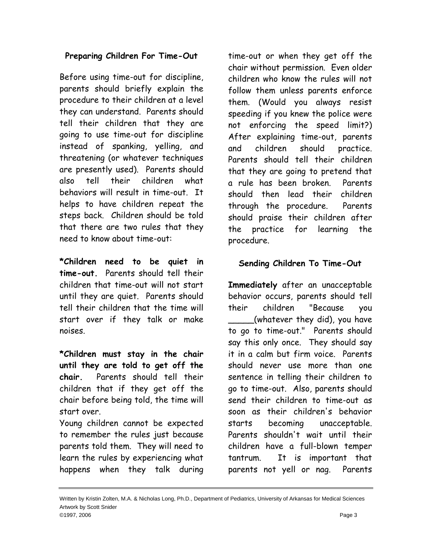### **Preparing Children For Time-Out**

Before using time-out for discipline, parents should briefly explain the procedure to their children at a level they can understand. Parents should tell their children that they are going to use time-out for discipline instead of spanking, yelling, and threatening (or whatever techniques are presently used). Parents should also tell their children what behaviors will result in time-out. It helps to have children repeat the steps back. Children should be told that there are two rules that they need to know about time-out:

**\*Children need to be quiet in time-out.** Parents should tell their children that time-out will not start until they are quiet. Parents should tell their children that the time will start over if they talk or make noises.

**\*Children must stay in the chair until they are told to get off the chair.** Parents should tell their children that if they get off the chair before being told, the time will start over.

Young children cannot be expected to remember the rules just because parents told them. They will need to learn the rules by experiencing what happens when they talk during

time-out or when they get off the chair without permission. Even older children who know the rules will not follow them unless parents enforce them. (Would you always resist speeding if you knew the police were not enforcing the speed limit?) After explaining time-out, parents and children should practice. Parents should tell their children that they are going to pretend that a rule has been broken. Parents should then lead their children through the procedure. Parents should praise their children after the practice for learning the procedure.

## **Sending Children To Time-Out**

**Immediately** after an unacceptable behavior occurs, parents should tell their children "Because you \_\_\_\_\_(whatever they did), you have to go to time-out." Parents should say this only once. They should say it in a calm but firm voice. Parents should never use more than one sentence in telling their children to go to time-out. Also, parents should send their children to time-out as soon as their children's behavior starts becoming unacceptable. Parents shouldn't wait until their children have a full-blown temper tantrum. It is important that parents not yell or nag. Parents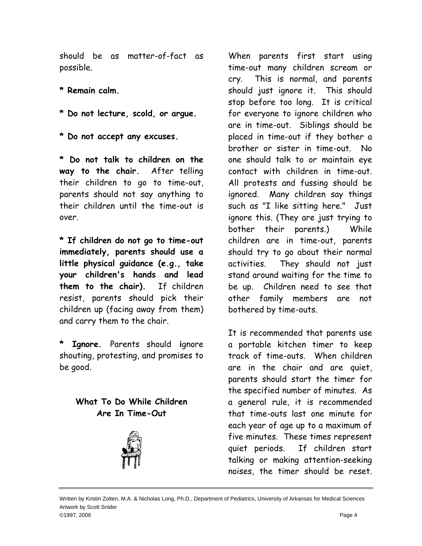should be as matter-of-fact as possible.

- **\* Remain calm.**
- **\* Do not lecture, scold, or argue.**
- **\* Do not accept any excuses.**

**\* Do not talk to children on the way to the chair.** After telling their children to go to time-out, parents should not say anything to their children until the time-out is over.

**\* If children do not go to time-out immediately, parents should use a little physical guidance (e.g., take your children's hands and lead them to the chair).** If children resist, parents should pick their children up (facing away from them) and carry them to the chair.

**\* Ignore.** Parents should **i**gnore shouting, protesting, and promises to be good.

# **What To Do While Children Are In Time-Out**



When parents first start using time-out many children scream or cry. This is normal, and parents should just ignore it. This should stop before too long. It is critical for everyone to ignore children who are in time-out. Siblings should be placed in time-out if they bother a brother or sister in time-out. No one should talk to or maintain eye contact with children in time-out. All protests and fussing should be ignored. Many children say things such as "I like sitting here." Just ignore this. (They are just trying to bother their parents.) While children are in time-out, parents should try to go about their normal activities. They should not just stand around waiting for the time to be up. Children need to see that other family members are not bothered by time-outs.

It is recommended that parents use a portable kitchen timer to keep track of time-outs. When children are in the chair and are quiet, parents should start the timer for the specified number of minutes. As a general rule, it is recommended that time-outs last one minute for each year of age up to a maximum of five minutes. These times represent quiet periods. If children start talking or making attention-seeking noises, the timer should be reset.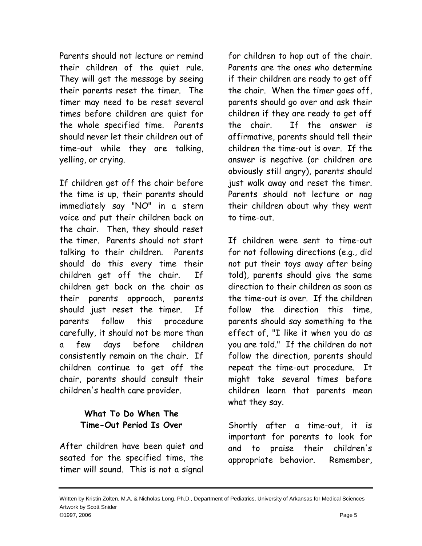Parents should not lecture or remind their children of the quiet rule. They will get the message by seeing their parents reset the timer. The timer may need to be reset several times before children are quiet for the whole specified time. Parents should never let their children out of time-out while they are talking, yelling, or crying.

If children get off the chair before the time is up, their parents should immediately say "NO" in a stern voice and put their children back on the chair. Then, they should reset the timer. Parents should not start talking to their children. Parents should do this every time their children get off the chair. If children get back on the chair as their parents approach, parents should just reset the timer. If parents follow this procedure carefully, it should not be more than a few days before children consistently remain on the chair. If children continue to get off the chair, parents should consult their children's health care provider.

## **What To Do When The Time-Out Period Is Over**

After children have been quiet and seated for the specified time, the timer will sound. This is not a signal

for children to hop out of the chair. Parents are the ones who determine if their children are ready to get off the chair. When the timer goes off, parents should go over and ask their children if they are ready to get off the chair. If the answer is affirmative, parents should tell their children the time-out is over. If the answer is negative (or children are obviously still angry), parents should just walk away and reset the timer. Parents should not lecture or nag their children about why they went to time-out.

If children were sent to time-out for not following directions (e.g., did not put their toys away after being told), parents should give the same direction to their children as soon as the time-out is over. If the children follow the direction this time, parents should say something to the effect of, "I like it when you do as you are told." If the children do not follow the direction, parents should repeat the time-out procedure. It might take several times before children learn that parents mean what they say.

Shortly after a time-out, it is important for parents to look for and to praise their children's appropriate behavior. Remember,